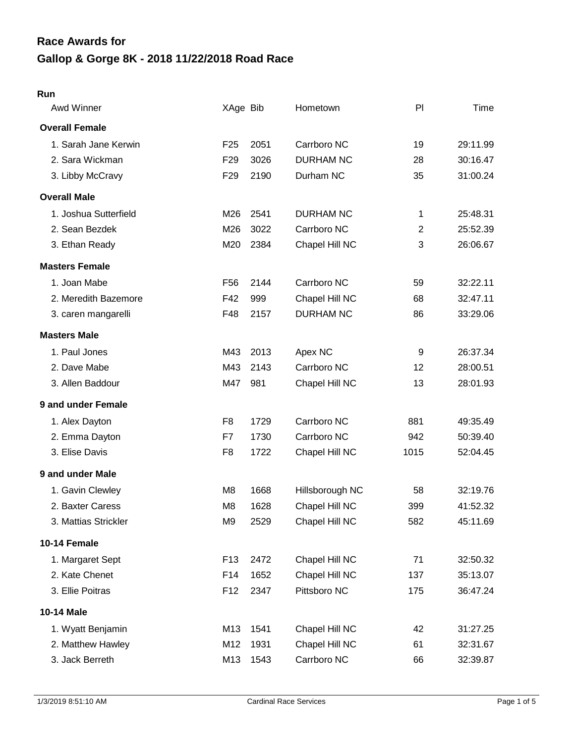# **Gallop & Gorge 8K - 2018 11/22/2018 Road Race Race Awards for**

#### **Run**

| Awd Winner            | XAge Bib        |      | Hometown         | PI             | Time     |
|-----------------------|-----------------|------|------------------|----------------|----------|
| <b>Overall Female</b> |                 |      |                  |                |          |
| 1. Sarah Jane Kerwin  | F <sub>25</sub> | 2051 | Carrboro NC      | 19             | 29:11.99 |
| 2. Sara Wickman       | F <sub>29</sub> | 3026 | <b>DURHAM NC</b> | 28             | 30:16.47 |
| 3. Libby McCravy      | F <sub>29</sub> | 2190 | Durham NC        | 35             | 31:00.24 |
| <b>Overall Male</b>   |                 |      |                  |                |          |
| 1. Joshua Sutterfield | M26             | 2541 | <b>DURHAM NC</b> | 1              | 25:48.31 |
| 2. Sean Bezdek        | M26             | 3022 | Carrboro NC      | $\overline{2}$ | 25:52.39 |
| 3. Ethan Ready        | M20             | 2384 | Chapel Hill NC   | 3              | 26:06.67 |
| <b>Masters Female</b> |                 |      |                  |                |          |
| 1. Joan Mabe          | F <sub>56</sub> | 2144 | Carrboro NC      | 59             | 32:22.11 |
| 2. Meredith Bazemore  | F42             | 999  | Chapel Hill NC   | 68             | 32:47.11 |
| 3. caren mangarelli   | F48             | 2157 | <b>DURHAM NC</b> | 86             | 33:29.06 |
| <b>Masters Male</b>   |                 |      |                  |                |          |
| 1. Paul Jones         | M43             | 2013 | Apex NC          | 9              | 26:37.34 |
| 2. Dave Mabe          | M43             | 2143 | Carrboro NC      | 12             | 28:00.51 |
| 3. Allen Baddour      | M47             | 981  | Chapel Hill NC   | 13             | 28:01.93 |
| 9 and under Female    |                 |      |                  |                |          |
| 1. Alex Dayton        | F <sub>8</sub>  | 1729 | Carrboro NC      | 881            | 49:35.49 |
| 2. Emma Dayton        | F7              | 1730 | Carrboro NC      | 942            | 50:39.40 |
| 3. Elise Davis        | F <sub>8</sub>  | 1722 | Chapel Hill NC   | 1015           | 52:04.45 |
| 9 and under Male      |                 |      |                  |                |          |
| 1. Gavin Clewley      | M <sub>8</sub>  | 1668 | Hillsborough NC  | 58             | 32:19.76 |
| 2. Baxter Caress      | M <sub>8</sub>  | 1628 | Chapel Hill NC   | 399            | 41:52.32 |
| 3. Mattias Strickler  | M9              | 2529 | Chapel Hill NC   | 582            | 45:11.69 |
| 10-14 Female          |                 |      |                  |                |          |
| 1. Margaret Sept      | F <sub>13</sub> | 2472 | Chapel Hill NC   | 71             | 32:50.32 |
| 2. Kate Chenet        | F14             | 1652 | Chapel Hill NC   | 137            | 35:13.07 |
| 3. Ellie Poitras      | F <sub>12</sub> | 2347 | Pittsboro NC     | 175            | 36:47.24 |
| 10-14 Male            |                 |      |                  |                |          |
| 1. Wyatt Benjamin     | M13             | 1541 | Chapel Hill NC   | 42             | 31:27.25 |
| 2. Matthew Hawley     | M12             | 1931 | Chapel Hill NC   | 61             | 32:31.67 |
| 3. Jack Berreth       | M13             | 1543 | Carrboro NC      | 66             | 32:39.87 |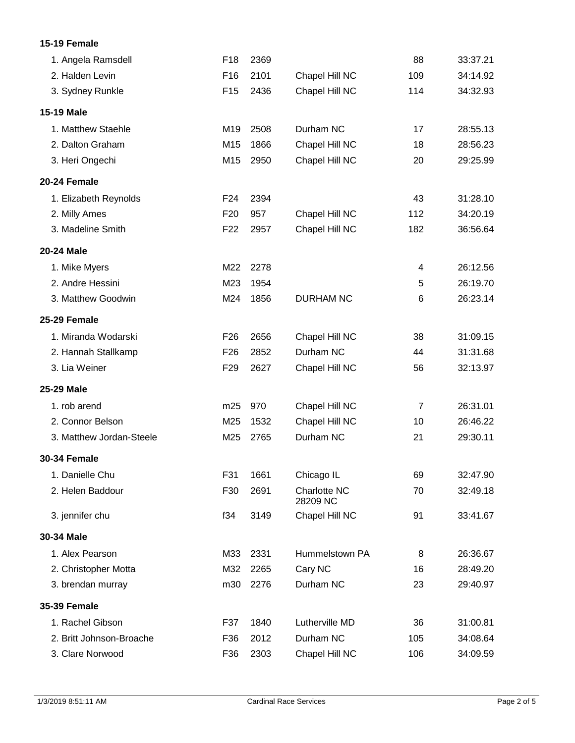### **15-19 Female**

| 1. Angela Ramsdell       | F18             | 2369 |                          | 88             | 33:37.21 |
|--------------------------|-----------------|------|--------------------------|----------------|----------|
| 2. Halden Levin          | F16             | 2101 | Chapel Hill NC           | 109            | 34:14.92 |
| 3. Sydney Runkle         | F <sub>15</sub> | 2436 | Chapel Hill NC           | 114            | 34:32.93 |
| 15-19 Male               |                 |      |                          |                |          |
| 1. Matthew Staehle       | M19             | 2508 | Durham NC                | 17             | 28:55.13 |
| 2. Dalton Graham         | M15             | 1866 | Chapel Hill NC           | 18             | 28:56.23 |
| 3. Heri Ongechi          | M15             | 2950 | Chapel Hill NC           | 20             | 29:25.99 |
| 20-24 Female             |                 |      |                          |                |          |
| 1. Elizabeth Reynolds    | F24             | 2394 |                          | 43             | 31:28.10 |
| 2. Milly Ames            | F <sub>20</sub> | 957  | Chapel Hill NC           | 112            | 34:20.19 |
| 3. Madeline Smith        | F <sub>22</sub> | 2957 | Chapel Hill NC           | 182            | 36:56.64 |
| 20-24 Male               |                 |      |                          |                |          |
| 1. Mike Myers            | M22             | 2278 |                          | 4              | 26:12.56 |
| 2. Andre Hessini         | M23             | 1954 |                          | 5              | 26:19.70 |
| 3. Matthew Goodwin       | M24             | 1856 | <b>DURHAM NC</b>         | 6              | 26:23.14 |
| 25-29 Female             |                 |      |                          |                |          |
| 1. Miranda Wodarski      | F <sub>26</sub> | 2656 | Chapel Hill NC           | 38             | 31:09.15 |
| 2. Hannah Stallkamp      | F <sub>26</sub> | 2852 | Durham NC                | 44             | 31:31.68 |
| 3. Lia Weiner            | F <sub>29</sub> | 2627 | Chapel Hill NC           | 56             | 32:13.97 |
| 25-29 Male               |                 |      |                          |                |          |
| 1. rob arend             | m25             | 970  | Chapel Hill NC           | $\overline{7}$ | 26:31.01 |
| 2. Connor Belson         | M25             | 1532 | Chapel Hill NC           | 10             | 26:46.22 |
| 3. Matthew Jordan-Steele | M25             | 2765 | Durham NC                | 21             | 29:30.11 |
| <b>30-34 Female</b>      |                 |      |                          |                |          |
| 1. Danielle Chu          | F31             | 1661 | Chicago IL               | 69             | 32:47.90 |
| 2. Helen Baddour         | F30             | 2691 | Charlotte NC<br>28209 NC | 70             | 32:49.18 |
| 3. jennifer chu          | f34             | 3149 | Chapel Hill NC           | 91             | 33:41.67 |
| 30-34 Male               |                 |      |                          |                |          |
| 1. Alex Pearson          | M33             | 2331 | Hummelstown PA           | 8              | 26:36.67 |
| 2. Christopher Motta     | M32             | 2265 | Cary NC                  | 16             | 28:49.20 |
| 3. brendan murray        | m30             | 2276 | Durham NC                | 23             | 29:40.97 |
| <b>35-39 Female</b>      |                 |      |                          |                |          |
| 1. Rachel Gibson         | F37             | 1840 | Lutherville MD           | 36             | 31:00.81 |
| 2. Britt Johnson-Broache | F36             | 2012 | Durham NC                | 105            | 34:08.64 |
| 3. Clare Norwood         | F36             | 2303 | Chapel Hill NC           | 106            | 34:09.59 |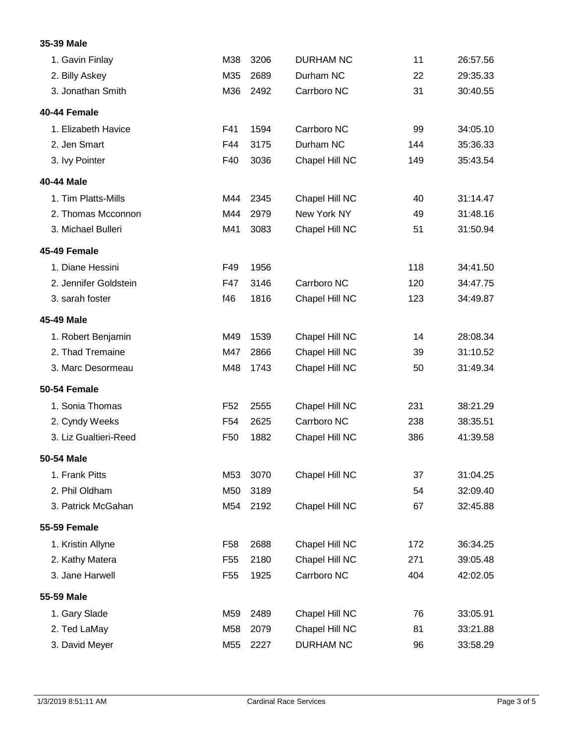### **35-39 Male**

| 1. Gavin Finlay       | M38             | 3206 | <b>DURHAM NC</b> | 11  | 26:57.56 |
|-----------------------|-----------------|------|------------------|-----|----------|
| 2. Billy Askey        | M35             | 2689 | Durham NC        | 22  | 29:35.33 |
| 3. Jonathan Smith     | M36             | 2492 | Carrboro NC      | 31  | 30:40.55 |
| 40-44 Female          |                 |      |                  |     |          |
| 1. Elizabeth Havice   | F41             | 1594 | Carrboro NC      | 99  | 34:05.10 |
| 2. Jen Smart          | F44             | 3175 | Durham NC        | 144 | 35:36.33 |
| 3. Ivy Pointer        | F40             | 3036 | Chapel Hill NC   | 149 | 35:43.54 |
| 40-44 Male            |                 |      |                  |     |          |
| 1. Tim Platts-Mills   | M44             | 2345 | Chapel Hill NC   | 40  | 31:14.47 |
| 2. Thomas Mcconnon    | M44             | 2979 | New York NY      | 49  | 31:48.16 |
| 3. Michael Bulleri    | M41             | 3083 | Chapel Hill NC   | 51  | 31:50.94 |
| 45-49 Female          |                 |      |                  |     |          |
| 1. Diane Hessini      | F49             | 1956 |                  | 118 | 34:41.50 |
| 2. Jennifer Goldstein | F47             | 3146 | Carrboro NC      | 120 | 34:47.75 |
| 3. sarah foster       | f46             | 1816 | Chapel Hill NC   | 123 | 34:49.87 |
| 45-49 Male            |                 |      |                  |     |          |
| 1. Robert Benjamin    | M49             | 1539 | Chapel Hill NC   | 14  | 28:08.34 |
| 2. Thad Tremaine      | M47             | 2866 | Chapel Hill NC   | 39  | 31:10.52 |
| 3. Marc Desormeau     | M48             | 1743 | Chapel Hill NC   | 50  | 31:49.34 |
| <b>50-54 Female</b>   |                 |      |                  |     |          |
| 1. Sonia Thomas       | F <sub>52</sub> | 2555 | Chapel Hill NC   | 231 | 38:21.29 |
| 2. Cyndy Weeks        | F <sub>54</sub> | 2625 | Carrboro NC      | 238 | 38:35.51 |
| 3. Liz Gualtieri-Reed | F <sub>50</sub> | 1882 | Chapel Hill NC   | 386 | 41:39.58 |
| 50-54 Male            |                 |      |                  |     |          |
| 1. Frank Pitts        | M53             | 3070 | Chapel Hill NC   | 37  | 31:04.25 |
| 2. Phil Oldham        | M50             | 3189 |                  | 54  | 32:09.40 |
| 3. Patrick McGahan    | M54             | 2192 | Chapel Hill NC   | 67  | 32:45.88 |
| <b>55-59 Female</b>   |                 |      |                  |     |          |
| 1. Kristin Allyne     | F <sub>58</sub> | 2688 | Chapel Hill NC   | 172 | 36:34.25 |
| 2. Kathy Matera       | F <sub>55</sub> | 2180 | Chapel Hill NC   | 271 | 39:05.48 |
| 3. Jane Harwell       | F <sub>55</sub> | 1925 | Carrboro NC      | 404 | 42:02.05 |
| 55-59 Male            |                 |      |                  |     |          |
| 1. Gary Slade         | M59             | 2489 | Chapel Hill NC   | 76  | 33:05.91 |
| 2. Ted LaMay          | M58             | 2079 | Chapel Hill NC   | 81  | 33:21.88 |
| 3. David Meyer        | M55             | 2227 | <b>DURHAM NC</b> | 96  | 33:58.29 |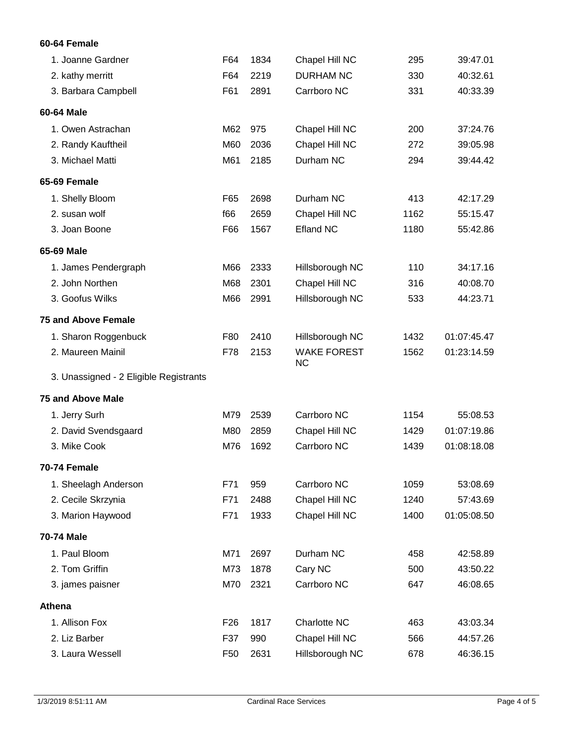### **60-64 Female**

| 1. Joanne Gardner                      | F64             | 1834 | Chapel Hill NC                  | 295  | 39:47.01    |
|----------------------------------------|-----------------|------|---------------------------------|------|-------------|
| 2. kathy merritt                       | F64             | 2219 | <b>DURHAM NC</b>                | 330  | 40:32.61    |
| 3. Barbara Campbell                    | F61             | 2891 | Carrboro NC                     | 331  | 40:33.39    |
| 60-64 Male                             |                 |      |                                 |      |             |
| 1. Owen Astrachan                      | M62             | 975  | Chapel Hill NC                  | 200  | 37:24.76    |
| 2. Randy Kauftheil                     | M60             | 2036 | Chapel Hill NC                  | 272  | 39:05.98    |
| 3. Michael Matti                       | M61             | 2185 | Durham NC                       | 294  | 39:44.42    |
| 65-69 Female                           |                 |      |                                 |      |             |
| 1. Shelly Bloom                        | F65             | 2698 | Durham NC                       | 413  | 42:17.29    |
| 2. susan wolf                          | f66             | 2659 | Chapel Hill NC                  | 1162 | 55:15.47    |
| 3. Joan Boone                          | F66             | 1567 | <b>Efland NC</b>                | 1180 | 55:42.86    |
| 65-69 Male                             |                 |      |                                 |      |             |
| 1. James Pendergraph                   | M66             | 2333 | Hillsborough NC                 | 110  | 34:17.16    |
| 2. John Northen                        | M68             | 2301 | Chapel Hill NC                  | 316  | 40:08.70    |
| 3. Goofus Wilks                        | M66             | 2991 | Hillsborough NC                 | 533  | 44:23.71    |
| <b>75 and Above Female</b>             |                 |      |                                 |      |             |
| 1. Sharon Roggenbuck                   | F80             | 2410 | Hillsborough NC                 | 1432 | 01:07:45.47 |
| 2. Maureen Mainil                      | F78             | 2153 | <b>WAKE FOREST</b><br><b>NC</b> | 1562 | 01:23:14.59 |
| 3. Unassigned - 2 Eligible Registrants |                 |      |                                 |      |             |
| <b>75 and Above Male</b>               |                 |      |                                 |      |             |
| 1. Jerry Surh                          | M79             | 2539 | Carrboro NC                     | 1154 | 55:08.53    |
| 2. David Svendsgaard                   | M80             | 2859 | Chapel Hill NC                  | 1429 | 01:07:19.86 |
| 3. Mike Cook                           | M76             | 1692 | Carrboro NC                     | 1439 | 01:08:18.08 |
| 70-74 Female                           |                 |      |                                 |      |             |
| 1. Sheelagh Anderson                   | F71             | 959  | Carrboro NC                     | 1059 | 53:08.69    |
| 2. Cecile Skrzynia                     | F71             | 2488 | Chapel Hill NC                  | 1240 | 57:43.69    |
| 3. Marion Haywood                      | F71             | 1933 | Chapel Hill NC                  | 1400 | 01:05:08.50 |
| 70-74 Male                             |                 |      |                                 |      |             |
| 1. Paul Bloom                          | M71             | 2697 | Durham NC                       | 458  | 42:58.89    |
| 2. Tom Griffin                         | M73             | 1878 | Cary NC                         | 500  | 43:50.22    |
| 3. james paisner                       | M70             | 2321 | Carrboro NC                     | 647  | 46:08.65    |
| Athena                                 |                 |      |                                 |      |             |
| 1. Allison Fox                         | F <sub>26</sub> | 1817 | Charlotte NC                    | 463  | 43:03.34    |
| 2. Liz Barber                          | F37             | 990  | Chapel Hill NC                  | 566  | 44:57.26    |
| 3. Laura Wessell                       | F <sub>50</sub> | 2631 | Hillsborough NC                 | 678  | 46:36.15    |